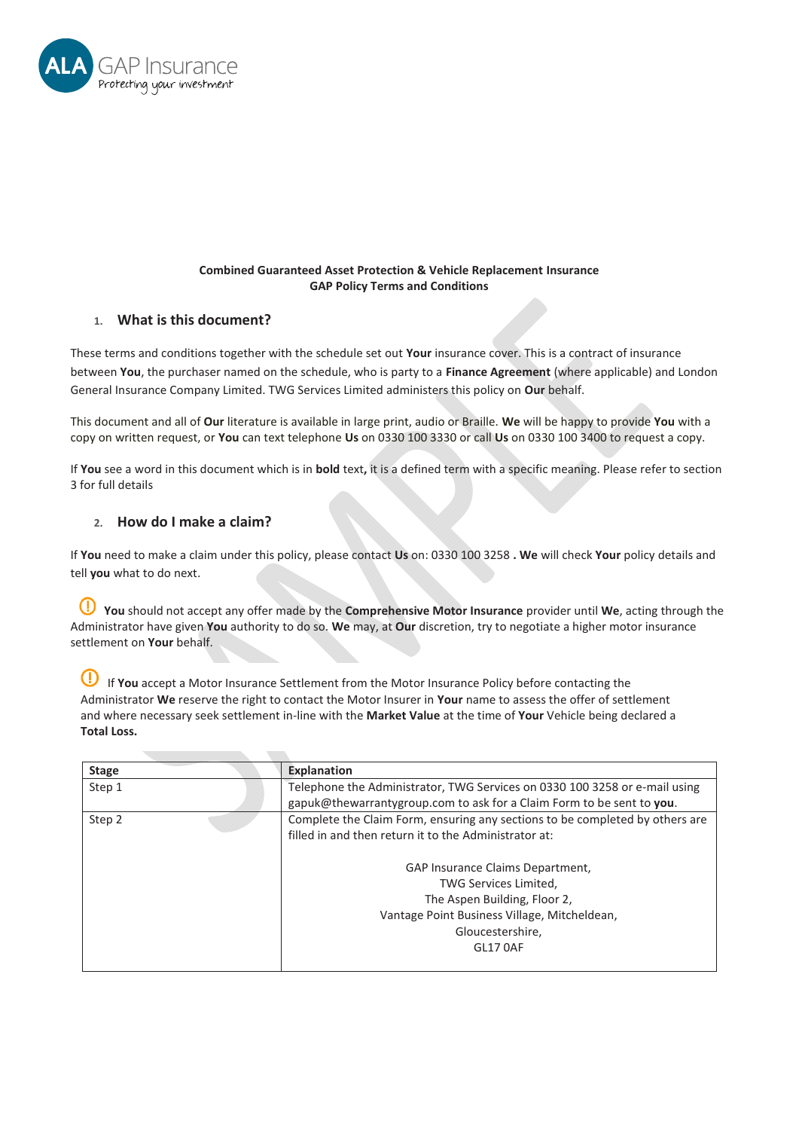

## **Combined Guaranteed Asset Protection & Vehicle Replacement Insurance GAP Policy Terms and Conditions**

# **1. What is this document?**

These terms and conditions together with the schedule set out **Your** insurance cover. This is a contract of insurance between **You**, the purchaser named on the schedule, who is party to a **Finance Agreement** (where applicable) and London General Insurance Company Limited. TWG Services Limited administers this policy on **Our** behalf.

This document and all of **Our** literature is available in large print, audio or Braille. **We** will be happy to provide **You** with a copy on written request, or **You** can text telephone **Us** on 0330 100 3330 or call **Us** on 0330 100 3400 to request a copy.

If **You** see a word in this document which is in **bold** text**,** it is a defined term with a specific meaning. Please refer to section 3 for full details

# **2. How do I make a claim?**

If **You** need to make a claim under this policy, please contact **Us** on: 0330 100 3258 **. We** will check **Your** policy details and tell **you** what to do next.

 **You** should not accept any offer made by the **Comprehensive Motor Insurance** provider until **We**, acting through the Administrator have given **You** authority to do so. **We** may, at **Our** discretion, try to negotiate a higher motor insurance settlement on **Your** behalf.

If **You** accept a Motor Insurance Settlement from the Motor Insurance Policy before contacting the Administrator **We** reserve the right to contact the Motor Insurer in **Your** name to assess the offer of settlement and where necessary seek settlement in-line with the **Market Value** at the time of **Your** Vehicle being declared a **Total Loss.**

| <b>Stage</b> | <b>Explanation</b>                                                           |  |  |
|--------------|------------------------------------------------------------------------------|--|--|
| Step 1       | Telephone the Administrator, TWG Services on 0330 100 3258 or e-mail using   |  |  |
|              | gapuk@thewarrantygroup.com to ask for a Claim Form to be sent to you.        |  |  |
| Step 2       | Complete the Claim Form, ensuring any sections to be completed by others are |  |  |
|              | filled in and then return it to the Administrator at:                        |  |  |
|              | GAP Insurance Claims Department,                                             |  |  |
|              | TWG Services Limited,                                                        |  |  |
|              | The Aspen Building, Floor 2,                                                 |  |  |
|              | Vantage Point Business Village, Mitcheldean,                                 |  |  |
|              | Gloucestershire,                                                             |  |  |
|              | GL17 0AF                                                                     |  |  |
|              |                                                                              |  |  |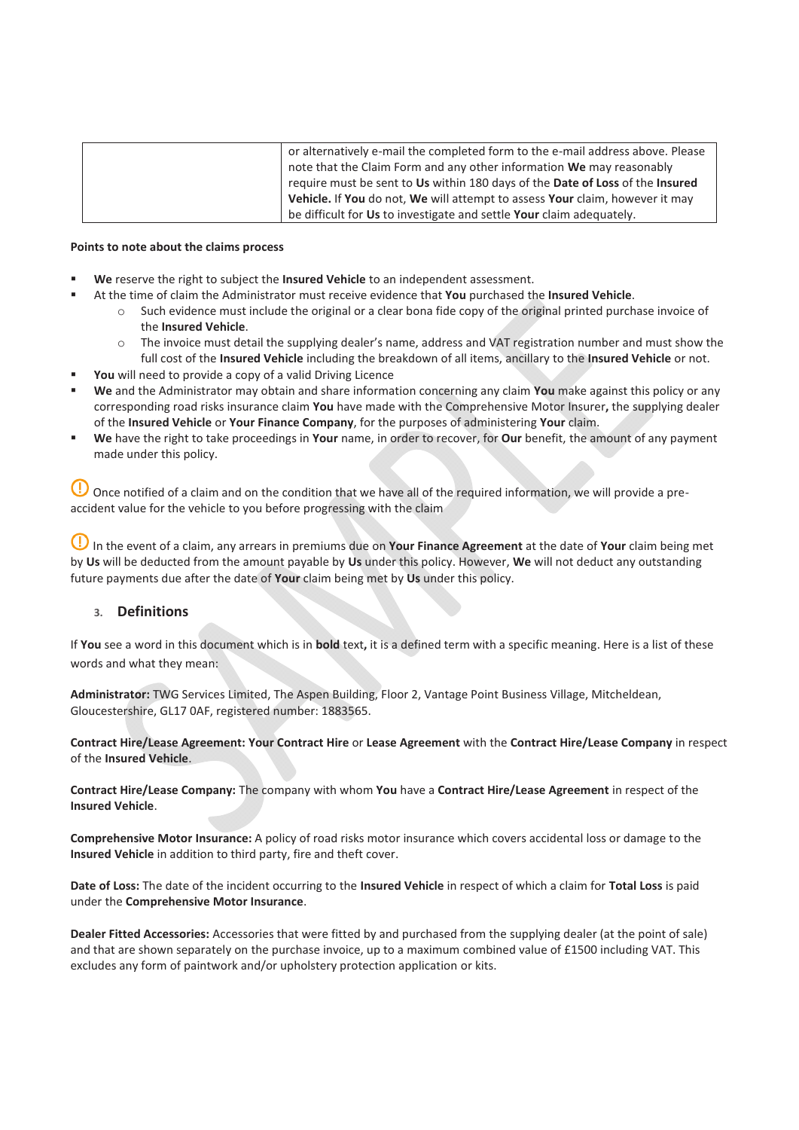| or alternatively e-mail the completed form to the e-mail address above. Please |
|--------------------------------------------------------------------------------|
| note that the Claim Form and any other information We may reasonably           |
| require must be sent to Us within 180 days of the Date of Loss of the Insured  |
| Vehicle. If You do not, We will attempt to assess Your claim, however it may   |
| be difficult for Us to investigate and settle Your claim adequately.           |

#### **Points to note about the claims process**

- **We** reserve the right to subject the **Insured Vehicle** to an independent assessment.
	- At the time of claim the Administrator must receive evidence that **You** purchased the **Insured Vehicle**.
		- $\circ$  Such evidence must include the original or a clear bona fide copy of the original printed purchase invoice of the **Insured Vehicle**.
		- o The invoice must detail the supplying dealer's name, address and VAT registration number and must show the full cost of the **Insured Vehicle** including the breakdown of all items, ancillary to the **Insured Vehicle** or not.
- **You** will need to provide a copy of a valid Driving Licence
- **We** and the Administrator may obtain and share information concerning any claim **You** make against this policy or any corresponding road risks insurance claim **You** have made with the Comprehensive Motor Insurer**,** the supplying dealer of the **Insured Vehicle** or **Your Finance Company**, for the purposes of administering **Your** claim.
- **We** have the right to take proceedings in **Your** name, in order to recover, for **Our** benefit, the amount of any payment made under this policy.

O Once notified of a claim and on the condition that we have all of the required information, we will provide a preaccident value for the vehicle to you before progressing with the claim

 In the event of a claim, any arrears in premiums due on **Your Finance Agreement** at the date of **Your** claim being met by **Us** will be deducted from the amount payable by **Us** under this policy. However, **We** will not deduct any outstanding future payments due after the date of **Your** claim being met by **Us** under this policy.

## **3. Definitions**

If **You** see a word in this document which is in **bold** text**,** it is a defined term with a specific meaning. Here is a list of these words and what they mean:

**Administrator:** TWG Services Limited, The Aspen Building, Floor 2, Vantage Point Business Village, Mitcheldean, Gloucestershire, GL17 0AF, registered number: 1883565.

**Contract Hire/Lease Agreement: Your Contract Hire** or **Lease Agreement** with the **Contract Hire/Lease Company** in respect of the **Insured Vehicle**.

**Contract Hire/Lease Company:** The company with whom **You** have a **Contract Hire/Lease Agreement** in respect of the **Insured Vehicle**.

**Comprehensive Motor Insurance:** A policy of road risks motor insurance which covers accidental loss or damage to the **Insured Vehicle** in addition to third party, fire and theft cover.

**Date of Loss:** The date of the incident occurring to the **Insured Vehicle** in respect of which a claim for **Total Loss** is paid under the **Comprehensive Motor Insurance**.

**Dealer Fitted Accessories:** Accessories that were fitted by and purchased from the supplying dealer (at the point of sale) and that are shown separately on the purchase invoice, up to a maximum combined value of £1500 including VAT. This excludes any form of paintwork and/or upholstery protection application or kits.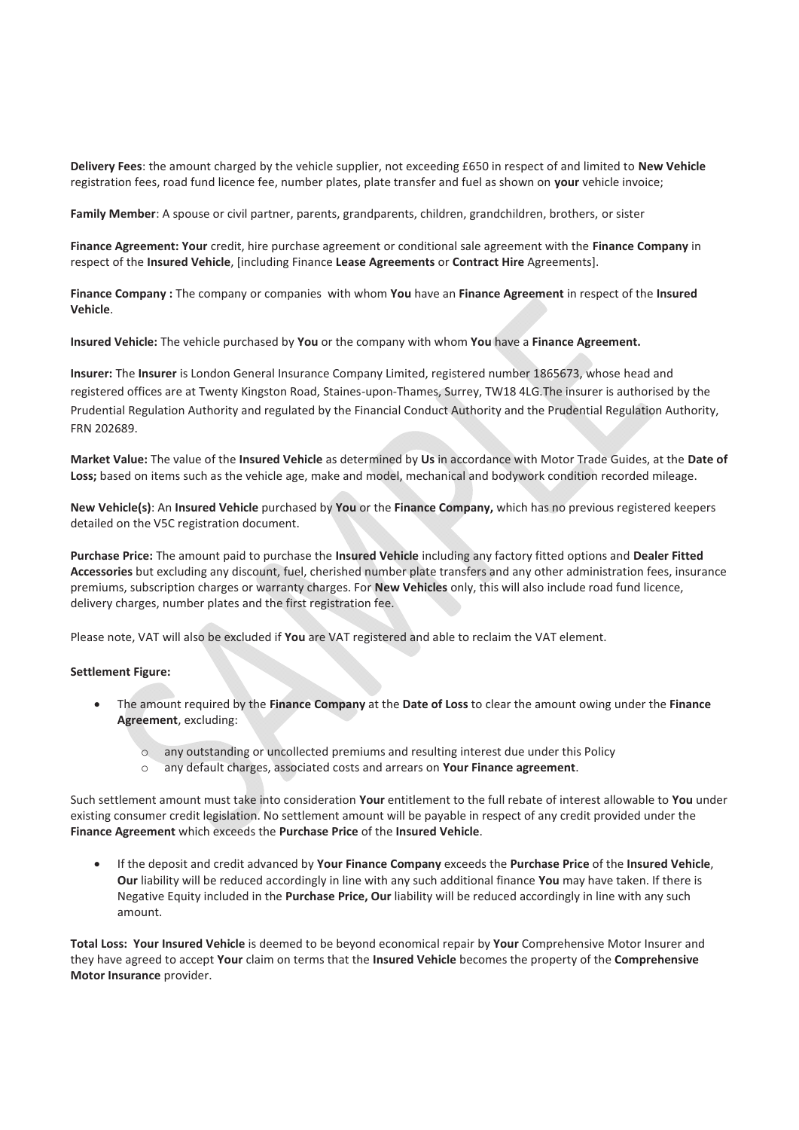**Delivery Fees**: the amount charged by the vehicle supplier, not exceeding £650 in respect of and limited to **New Vehicle** registration fees, road fund licence fee, number plates, plate transfer and fuel as shown on **your** vehicle invoice;

**Family Member**: A spouse or civil partner, parents, grandparents, children, grandchildren, brothers, or sister

**Finance Agreement: Your** credit, hire purchase agreement or conditional sale agreement with the **Finance Company** in respect of the **Insured Vehicle**, [including Finance **Lease Agreements** or **Contract Hire** Agreements].

**Finance Company :** The company or companies with whom **You** have an **Finance Agreement** in respect of the **Insured Vehicle**.

**Insured Vehicle:** The vehicle purchased by **You** or the company with whom **You** have a **Finance Agreement.** 

**Insurer:** The **Insurer** is London General Insurance Company Limited, registered number 1865673, whose head and registered offices are at Twenty Kingston Road, Staines-upon-Thames, Surrey, TW18 4LG.The insurer is authorised by the Prudential Regulation Authority and regulated by the Financial Conduct Authority and the Prudential Regulation Authority, FRN 202689.

**Market Value:** The value of the **Insured Vehicle** as determined by **Us** in accordance with Motor Trade Guides, at the **Date of Loss;** based on items such as the vehicle age, make and model, mechanical and bodywork condition recorded mileage.

**New Vehicle(s)**: An **Insured Vehicle** purchased by **You** or the **Finance Company,** which has no previous registered keepers detailed on the V5C registration document.

**Purchase Price:** The amount paid to purchase the **Insured Vehicle** including any factory fitted options and **Dealer Fitted Accessories** but excluding any discount, fuel, cherished number plate transfers and any other administration fees, insurance premiums, subscription charges or warranty charges. For **New Vehicles** only, this will also include road fund licence, delivery charges, number plates and the first registration fee.

Please note, VAT will also be excluded if **You** are VAT registered and able to reclaim the VAT element.

#### **Settlement Figure:**

- x The amount required by the **Finance Company** at the **Date of Loss** to clear the amount owing under the **Finance Agreement**, excluding:
	- o any outstanding or uncollected premiums and resulting interest due under this Policy
	- o any default charges, associated costs and arrears on **Your Finance agreement**.

Such settlement amount must take into consideration **Your** entitlement to the full rebate of interest allowable to **You** under existing consumer credit legislation. No settlement amount will be payable in respect of any credit provided under the **Finance Agreement** which exceeds the **Purchase Price** of the **Insured Vehicle**.

x If the deposit and credit advanced by **Your Finance Company** exceeds the **Purchase Price** of the **Insured Vehicle**, **Our** liability will be reduced accordingly in line with any such additional finance **You** may have taken. If there is Negative Equity included in the **Purchase Price, Our** liability will be reduced accordingly in line with any such amount.

**Total Loss: Your Insured Vehicle** is deemed to be beyond economical repair by **Your** Comprehensive Motor Insurer and they have agreed to accept **Your** claim on terms that the **Insured Vehicle** becomes the property of the **Comprehensive Motor Insurance** provider.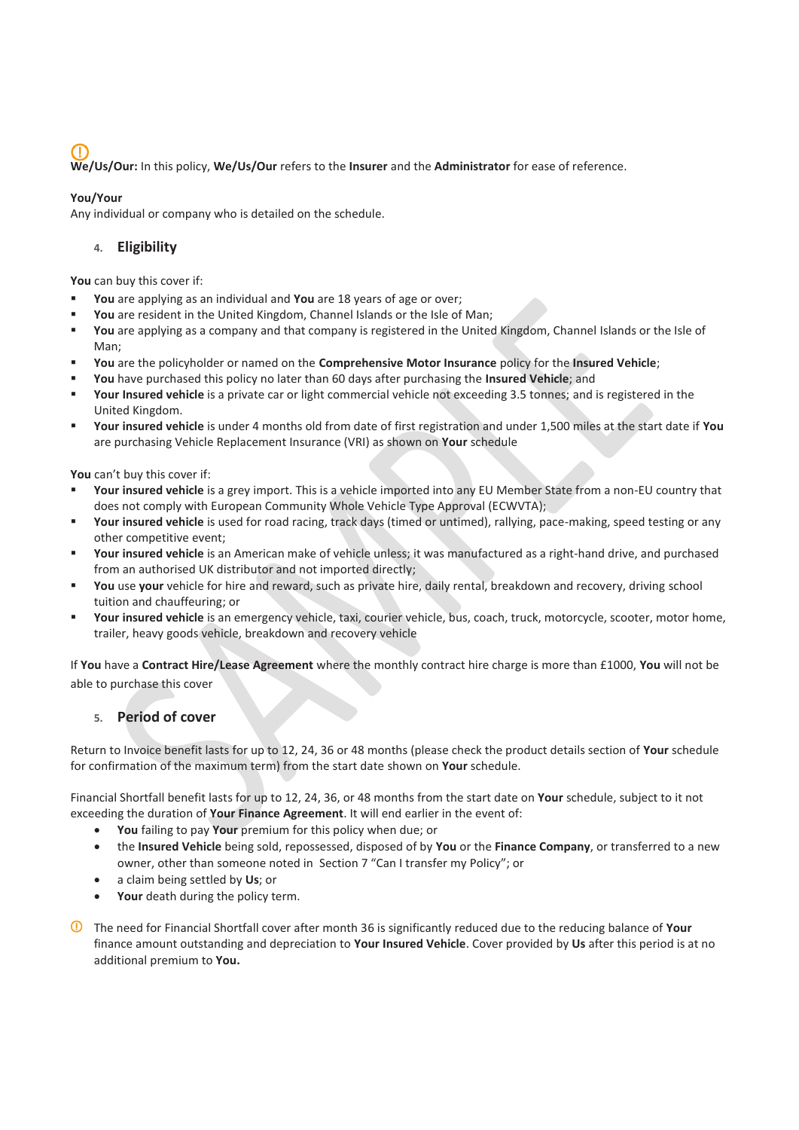**We/Us/Our:** In this policy, **We/Us/Our** refers to the **Insurer** and the **Administrator** for ease of reference.

## **You/Your**

Any individual or company who is detailed on the schedule.

# **4. Eligibility**

**You** can buy this cover if:

- **You** are applying as an individual and **You** are 18 years of age or over;
- **You** are resident in the United Kingdom, Channel Islands or the Isle of Man;
- **You** are applying as a company and that company is registered in the United Kingdom, Channel Islands or the Isle of Man;
- **You** are the policyholder or named on the **Comprehensive Motor Insurance** policy for the **Insured Vehicle**;
- **You** have purchased this policy no later than 60 days after purchasing the **Insured Vehicle**; and
- **Your Insured vehicle** is a private car or light commercial vehicle not exceeding 3.5 tonnes; and is registered in the United Kingdom.
- **Your insured vehicle** is under 4 months old from date of first registration and under 1,500 miles at the start date if **You** are purchasing Vehicle Replacement Insurance (VRI) as shown on **Your** schedule

**You** can't buy this cover if:

- **Your insured vehicle** is a grey import. This is a vehicle imported into any EU Member State from a non-EU country that does not comply with European Community Whole Vehicle Type Approval (ECWVTA);
- **Your insured vehicle** is used for road racing, track days (timed or untimed), rallying, pace-making, speed testing or any other competitive event;
- **Your insured vehicle** is an American make of vehicle unless; it was manufactured as a right-hand drive, and purchased from an authorised UK distributor and not imported directly;
- **You** use **your** vehicle for hire and reward, such as private hire, daily rental, breakdown and recovery, driving school tuition and chauffeuring; or
- **Your insured vehicle** is an emergency vehicle, taxi, courier vehicle, bus, coach, truck, motorcycle, scooter, motor home, trailer, heavy goods vehicle, breakdown and recovery vehicle

If **You** have a **Contract Hire/Lease Agreement** where the monthly contract hire charge is more than £1000, **You** will not be able to purchase this cover

## **5. Period of cover**

Return to Invoice benefit lasts for up to 12, 24, 36 or 48 months (please check the product details section of **Your** schedule for confirmation of the maximum term) from the start date shown on **Your** schedule.

Financial Shortfall benefit lasts for up to 12, 24, 36, or 48 months from the start date on **Your** schedule, subject to it not exceeding the duration of **Your Finance Agreement**. It will end earlier in the event of:

- x **You** failing to pay **Your** premium for this policy when due; or
- x the **Insured Vehicle** being sold, repossessed, disposed of by **You** or the **Finance Company**, or transferred to a new owner, other than someone noted in Section 7 "Can I transfer my Policy"; or
- x a claim being settled by **Us**; or
- Your death during the policy term.
- The need for Financial Shortfall cover after month 36 is significantly reduced due to the reducing balance of **Your**  finance amount outstanding and depreciation to **Your Insured Vehicle**. Cover provided by **Us** after this period is at no additional premium to **You.**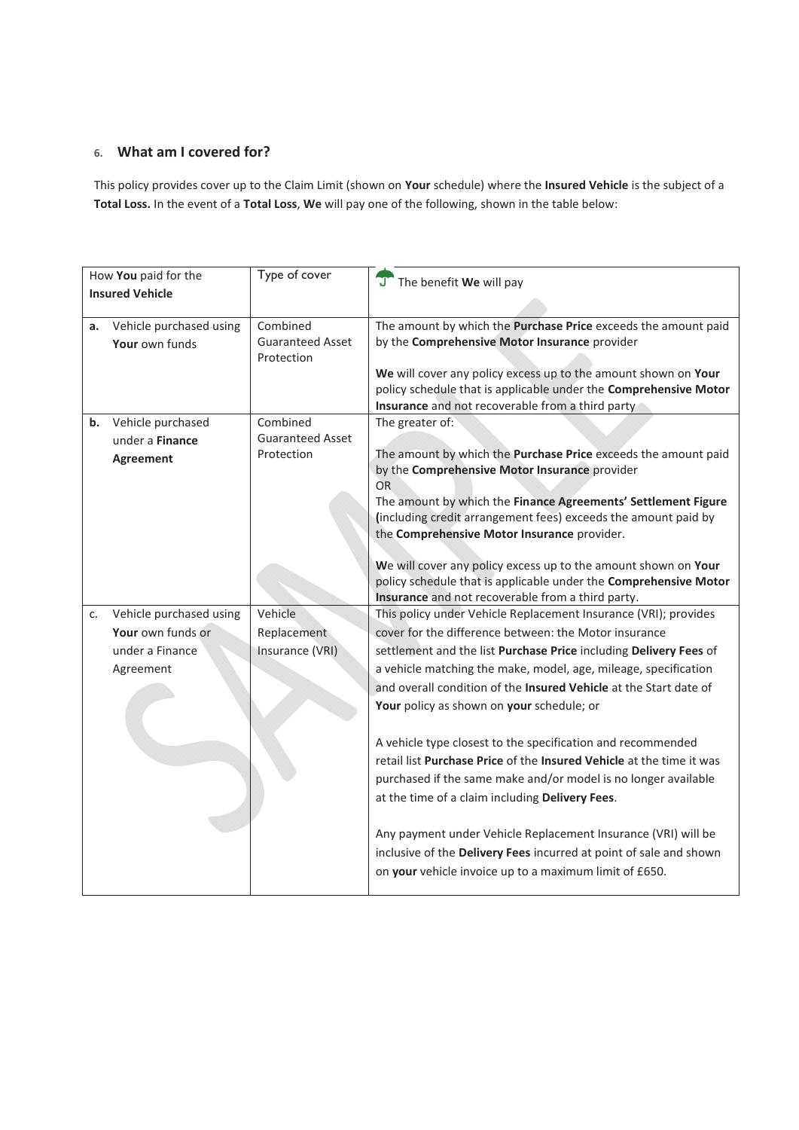# **6. What am I covered for?**

This policy provides cover up to the Claim Limit (shown on **Your** schedule) where the **Insured Vehicle** is the subject of a **Total Loss.** In the event of a **Total Loss**, **We** will pay one of the following, shown in the table below:

| How You paid for the   |                         | Type of cover           | J The benefit We will pay                                                                                                       |
|------------------------|-------------------------|-------------------------|---------------------------------------------------------------------------------------------------------------------------------|
| <b>Insured Vehicle</b> |                         |                         |                                                                                                                                 |
|                        |                         |                         |                                                                                                                                 |
| a.                     | Vehicle purchased using | Combined                | The amount by which the Purchase Price exceeds the amount paid                                                                  |
|                        | Your own funds          | <b>Guaranteed Asset</b> | by the Comprehensive Motor Insurance provider                                                                                   |
|                        |                         | Protection              | We will cover any policy excess up to the amount shown on Your                                                                  |
|                        |                         |                         | policy schedule that is applicable under the Comprehensive Motor                                                                |
|                        |                         |                         | Insurance and not recoverable from a third party                                                                                |
| b.                     | Vehicle purchased       | Combined                | The greater of:                                                                                                                 |
|                        | under a Finance         | <b>Guaranteed Asset</b> |                                                                                                                                 |
|                        | <b>Agreement</b>        | Protection              | The amount by which the Purchase Price exceeds the amount paid                                                                  |
|                        |                         |                         | by the Comprehensive Motor Insurance provider                                                                                   |
|                        |                         |                         | OR                                                                                                                              |
|                        |                         |                         | The amount by which the Finance Agreements' Settlement Figure<br>(including credit arrangement fees) exceeds the amount paid by |
|                        |                         |                         | the Comprehensive Motor Insurance provider.                                                                                     |
|                        |                         |                         |                                                                                                                                 |
|                        |                         |                         | We will cover any policy excess up to the amount shown on Your                                                                  |
|                        |                         |                         | policy schedule that is applicable under the Comprehensive Motor                                                                |
|                        |                         |                         | Insurance and not recoverable from a third party.                                                                               |
| c.                     | Vehicle purchased using | Vehicle                 | This policy under Vehicle Replacement Insurance (VRI); provides                                                                 |
|                        | Your own funds or       | Replacement             | cover for the difference between: the Motor insurance                                                                           |
|                        | under a Finance         | Insurance (VRI)         | settlement and the list Purchase Price including Delivery Fees of                                                               |
|                        | Agreement               |                         | a vehicle matching the make, model, age, mileage, specification                                                                 |
|                        |                         |                         | and overall condition of the <b>Insured Vehicle</b> at the Start date of                                                        |
|                        |                         |                         | Your policy as shown on your schedule; or                                                                                       |
|                        |                         |                         |                                                                                                                                 |
|                        |                         |                         | A vehicle type closest to the specification and recommended                                                                     |
|                        |                         |                         | retail list Purchase Price of the Insured Vehicle at the time it was                                                            |
|                        |                         |                         | purchased if the same make and/or model is no longer available                                                                  |
|                        |                         |                         | at the time of a claim including Delivery Fees.                                                                                 |
|                        |                         |                         |                                                                                                                                 |
|                        |                         |                         | Any payment under Vehicle Replacement Insurance (VRI) will be                                                                   |
|                        |                         |                         | inclusive of the Delivery Fees incurred at point of sale and shown                                                              |
|                        |                         |                         | on your vehicle invoice up to a maximum limit of £650.                                                                          |
|                        |                         |                         |                                                                                                                                 |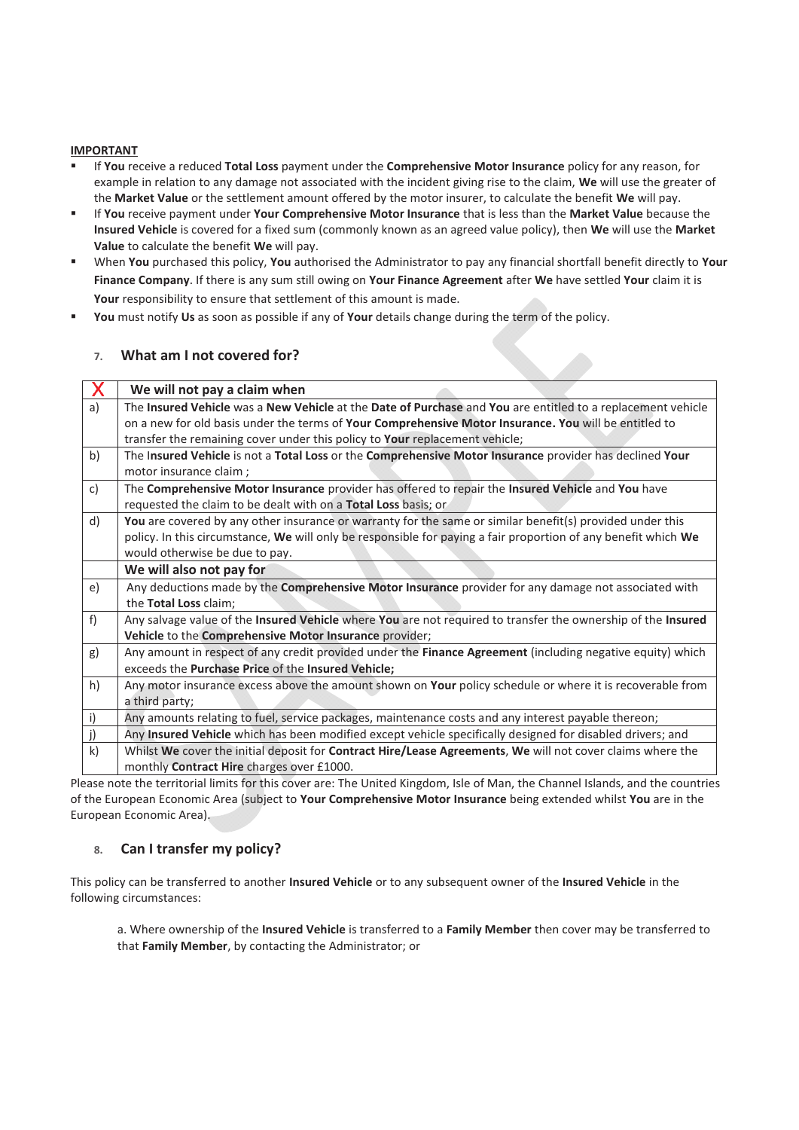#### **IMPORTANT**

- If **You** receive a reduced **Total Loss** payment under the **Comprehensive Motor Insurance** policy for any reason, for example in relation to any damage not associated with the incident giving rise to the claim, **We** will use the greater of the **Market Value** or the settlement amount offered by the motor insurer, to calculate the benefit **We** will pay.
- If **You** receive payment under **Your Comprehensive Motor Insurance** that is less than the **Market Value** because the **Insured Vehicle** is covered for a fixed sum (commonly known as an agreed value policy), then **We** will use the **Market Value** to calculate the benefit **We** will pay.
- When **You** purchased this policy, **You** authorised the Administrator to pay any financial shortfall benefit directly to **Your Finance Company**. If there is any sum still owing on **Your Finance Agreement** after **We** have settled **Your** claim it is **Your** responsibility to ensure that settlement of this amount is made.
- **You** must notify **Us** as soon as possible if any of **Your** details change during the term of the policy.

## **7. What am I not covered for?**

|              | We will not pay a claim when                                                                                   |  |  |
|--------------|----------------------------------------------------------------------------------------------------------------|--|--|
| a)           | The Insured Vehicle was a New Vehicle at the Date of Purchase and You are entitled to a replacement vehicle    |  |  |
|              | on a new for old basis under the terms of Your Comprehensive Motor Insurance. You will be entitled to          |  |  |
|              | transfer the remaining cover under this policy to Your replacement vehicle;                                    |  |  |
| b)           | The Insured Vehicle is not a Total Loss or the Comprehensive Motor Insurance provider has declined Your        |  |  |
|              | motor insurance claim;                                                                                         |  |  |
| c)           | The Comprehensive Motor Insurance provider has offered to repair the Insured Vehicle and You have              |  |  |
|              | requested the claim to be dealt with on a Total Loss basis; or                                                 |  |  |
| d)           | You are covered by any other insurance or warranty for the same or similar benefit(s) provided under this      |  |  |
|              | policy. In this circumstance, We will only be responsible for paying a fair proportion of any benefit which We |  |  |
|              | would otherwise be due to pay.                                                                                 |  |  |
|              | We will also not pay for                                                                                       |  |  |
| e)           | Any deductions made by the Comprehensive Motor Insurance provider for any damage not associated with           |  |  |
|              | the Total Loss claim;                                                                                          |  |  |
| f            | Any salvage value of the Insured Vehicle where You are not required to transfer the ownership of the Insured   |  |  |
|              | Vehicle to the Comprehensive Motor Insurance provider;                                                         |  |  |
| g)           | Any amount in respect of any credit provided under the Finance Agreement (including negative equity) which     |  |  |
|              | exceeds the Purchase Price of the Insured Vehicle;                                                             |  |  |
| h)           | Any motor insurance excess above the amount shown on Your policy schedule or where it is recoverable from      |  |  |
|              | a third party;                                                                                                 |  |  |
| i)           | Any amounts relating to fuel, service packages, maintenance costs and any interest payable thereon;            |  |  |
| j)           | Any Insured Vehicle which has been modified except vehicle specifically designed for disabled drivers; and     |  |  |
| $\mathsf{k}$ | Whilst We cover the initial deposit for Contract Hire/Lease Agreements, We will not cover claims where the     |  |  |
|              | monthly Contract Hire charges over £1000.                                                                      |  |  |

Please note the territorial limits for this cover are: The United Kingdom, Isle of Man, the Channel Islands, and the countries of the European Economic Area (subject to **Your Comprehensive Motor Insurance** being extended whilst **You** are in the European Economic Area).

# **8. Can I transfer my policy?**

This policy can be transferred to another **Insured Vehicle** or to any subsequent owner of the **Insured Vehicle** in the following circumstances:

a. Where ownership of the **Insured Vehicle** is transferred to a **Family Member** then cover may be transferred to that **Family Member**, by contacting the Administrator; or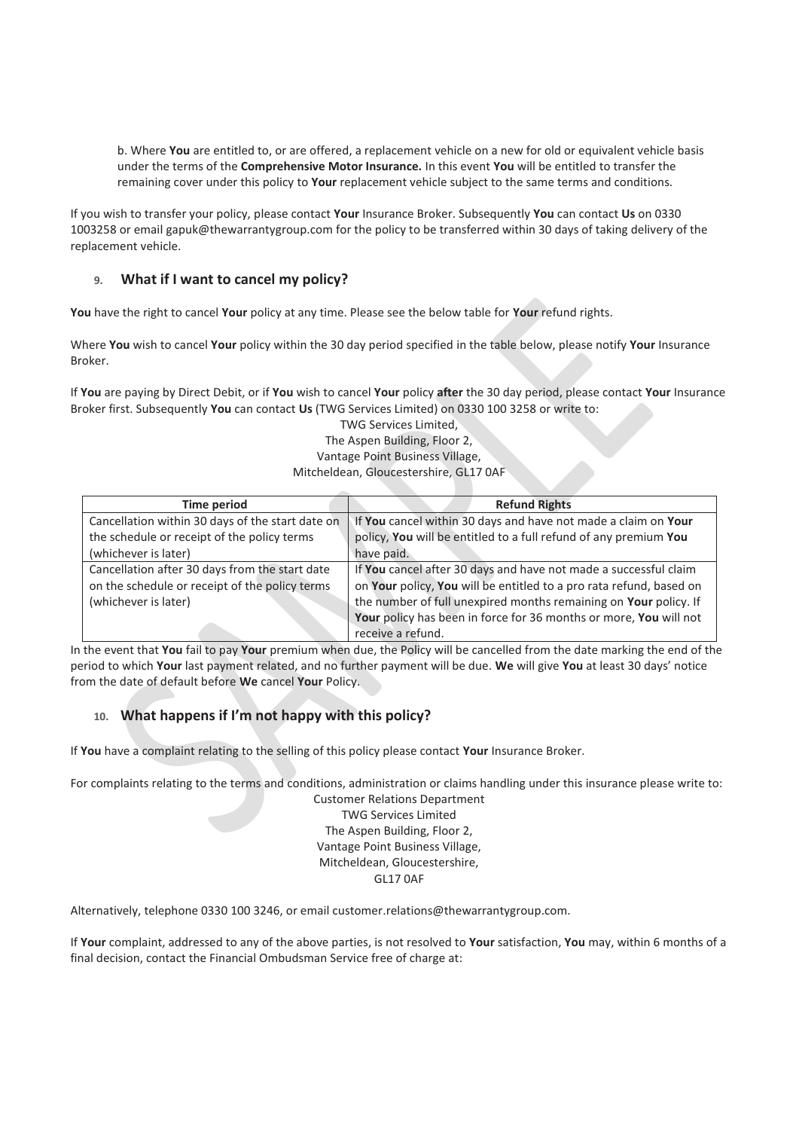b. Where **You** are entitled to, or are offered, a replacement vehicle on a new for old or equivalent vehicle basis under the terms of the **Comprehensive Motor Insurance.** In this event **You** will be entitled to transfer the remaining cover under this policy to **Your** replacement vehicle subject to the same terms and conditions.

If you wish to transfer your policy, please contact **Your** Insurance Broker. Subsequently **You** can contact **Us** on 0330 1003258 or email gapuk@thewarrantygroup.com for the policy to be transferred within 30 days of taking delivery of the replacement vehicle.

# **9. What if I want to cancel my policy?**

**You** have the right to cancel **Your** policy at any time. Please see the below table for **Your** refund rights.

Where **You** wish to cancel **Your** policy within the 30 day period specified in the table below, please notify **Your** Insurance Broker.

If **You** are paying by Direct Debit, or if **You** wish to cancel **Your** policy **after** the 30 day period, please contact **Your** Insurance Broker first. Subsequently **You** can contact **Us** (TWG Services Limited) on 0330 100 3258 or write to:

> TWG Services Limited, The Aspen Building, Floor 2, Vantage Point Business Village, Mitcheldean, Gloucestershire, GL17 0AF

| Time period                                      | <b>Refund Rights</b>                                                |
|--------------------------------------------------|---------------------------------------------------------------------|
| Cancellation within 30 days of the start date on | If You cancel within 30 days and have not made a claim on Your      |
| the schedule or receipt of the policy terms      | policy, You will be entitled to a full refund of any premium You    |
| (whichever is later)                             | have paid.                                                          |
| Cancellation after 30 days from the start date   | If You cancel after 30 days and have not made a successful claim    |
| on the schedule or receipt of the policy terms   | on Your policy, You will be entitled to a pro rata refund, based on |
| (whichever is later)                             | the number of full unexpired months remaining on Your policy. If    |
|                                                  | Your policy has been in force for 36 months or more, You will not   |
|                                                  | receive a refund.                                                   |

In the event that **You** fail to pay **Your** premium when due, the Policy will be cancelled from the date marking the end of the period to which **Your** last payment related, and no further payment will be due. **We** will give **You** at least 30 days' notice from the date of default before **We** cancel **Your** Policy.

# **10. What happens if I'm not happy with this policy?**

If **You** have a complaint relating to the selling of this policy please contact **Your** Insurance Broker.

For complaints relating to the terms and conditions, administration or claims handling under this insurance please write to:

Customer Relations Department TWG Services Limited The Aspen Building, Floor 2, Vantage Point Business Village, Mitcheldean, Gloucestershire, GL17 0AF

Alternatively, telephone 0330 100 3246, or email customer.relations@thewarrantygroup.com.

If **Your** complaint, addressed to any of the above parties, is not resolved to **Your** satisfaction, **You** may, within 6 months of a final decision, contact the Financial Ombudsman Service free of charge at: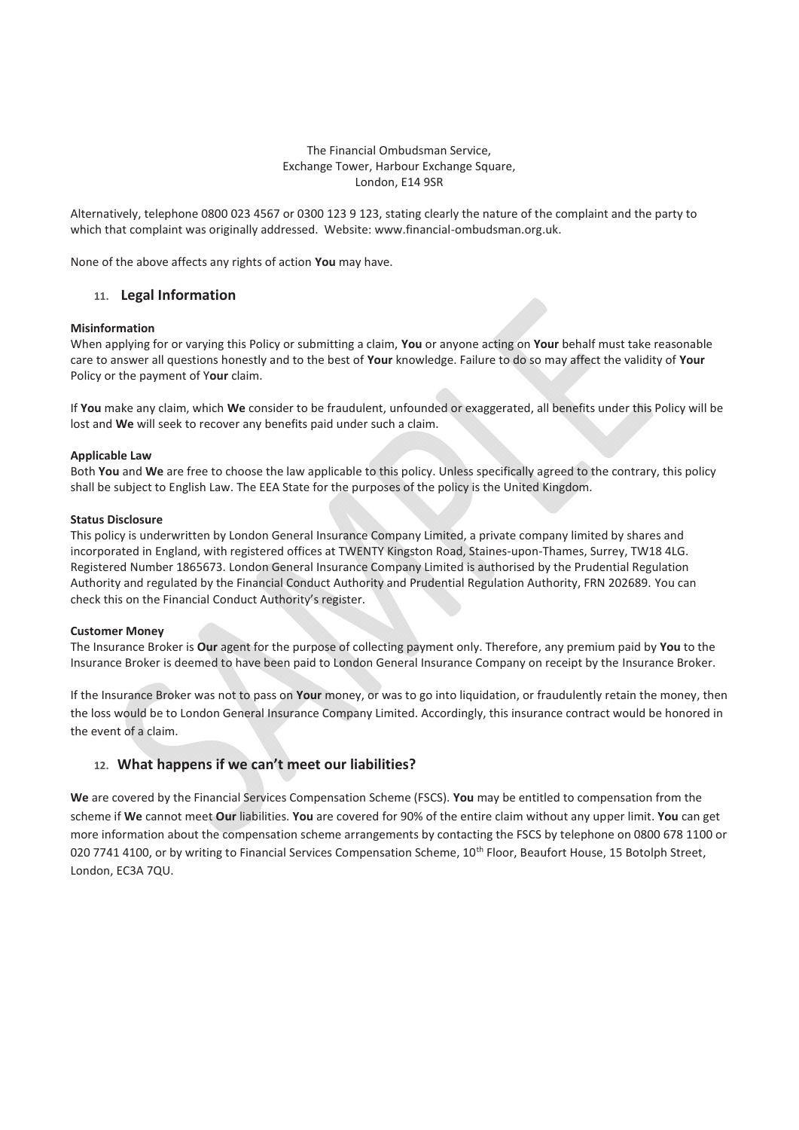#### The Financial Ombudsman Service, Exchange Tower, Harbour Exchange Square, London, E14 9SR

Alternatively, telephone 0800 023 4567 or 0300 123 9 123, stating clearly the nature of the complaint and the party to which that complaint was originally addressed. Website: www.financial-ombudsman.org.uk.

None of the above affects any rights of action **You** may have.

## **11. Legal Information**

#### **Misinformation**

When applying for or varying this Policy or submitting a claim, **You** or anyone acting on **Your** behalf must take reasonable care to answer all questions honestly and to the best of **Your** knowledge. Failure to do so may affect the validity of **Your** Policy or the payment of Y**our** claim.

If **You** make any claim, which **We** consider to be fraudulent, unfounded or exaggerated, all benefits under this Policy will be lost and **We** will seek to recover any benefits paid under such a claim.

#### **Applicable Law**

Both **You** and **We** are free to choose the law applicable to this policy. Unless specifically agreed to the contrary, this policy shall be subject to English Law. The EEA State for the purposes of the policy is the United Kingdom.

#### **Status Disclosure**

This policy is underwritten by London General Insurance Company Limited, a private company limited by shares and incorporated in England, with registered offices at TWENTY Kingston Road, Staines-upon-Thames, Surrey, TW18 4LG. Registered Number 1865673. London General Insurance Company Limited is authorised by the Prudential Regulation Authority and regulated by the Financial Conduct Authority and Prudential Regulation Authority, FRN 202689. You can check this on the Financial Conduct Authority's register.

#### **Customer Money**

The Insurance Broker is **Our** agent for the purpose of collecting payment only. Therefore, any premium paid by **You** to the Insurance Broker is deemed to have been paid to London General Insurance Company on receipt by the Insurance Broker.

If the Insurance Broker was not to pass on **Your** money, or was to go into liquidation, or fraudulently retain the money, then the loss would be to London General Insurance Company Limited. Accordingly, this insurance contract would be honored in the event of a claim.

#### **12. What happens if we can't meet our liabilities?**

**We** are covered by the Financial Services Compensation Scheme (FSCS). **You** may be entitled to compensation from the scheme if **We** cannot meet **Our** liabilities. **You** are covered for 90% of the entire claim without any upper limit. **You** can get more information about the compensation scheme arrangements by contacting the FSCS by telephone on 0800 678 1100 or 020 7741 4100, or by writing to Financial Services Compensation Scheme, 10<sup>th</sup> Floor, Beaufort House, 15 Botolph Street, London, EC3A 7QU.